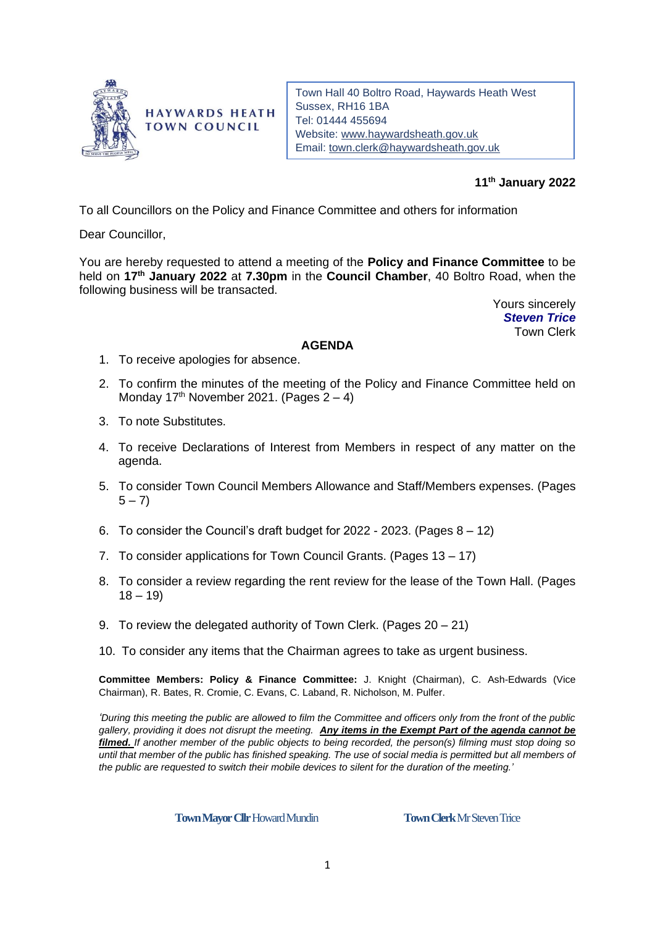

**HAYWARDS HEATH TOWN COUNCIL** 

Town Hall 40 Boltro Road, Haywards Heath West Sussex, RH16 1BA Tel: 01444 455694 Website: [www.haywardsheath.gov.uk](http://www.haywardsheath.gov.uk/) Email: [town.clerk@haywardsheath.gov.uk](mailto:town.clerk@haywardsheath.gov.uk)

# **11th January 2022**

To all Councillors on the Policy and Finance Committee and others for information

Dear Councillor,

You are hereby requested to attend a meeting of the **Policy and Finance Committee** to be held on **17 th January 2022** at **7.30pm** in the **Council Chamber**, 40 Boltro Road, when the following business will be transacted.

> Yours sincerely *Steven Trice* Town Clerk

#### **AGENDA**

- 1. To receive apologies for absence.
- 2. To confirm the minutes of the meeting of the Policy and Finance Committee held on Monday 17<sup>th</sup> November 2021. (Pages  $2 - 4$ )
- 3. To note Substitutes.
- 4. To receive Declarations of Interest from Members in respect of any matter on the agenda.
- 5. To consider Town Council Members Allowance and Staff/Members expenses. (Pages  $(5 - 7)$
- 6. To consider the Council's draft budget for 2022 2023. (Pages 8 12)
- 7. To consider applications for Town Council Grants. (Pages 13 17)
- 8. To consider a review regarding the rent review for the lease of the Town Hall. (Pages  $18 - 19$
- 9. To review the delegated authority of Town Clerk. (Pages 20 21)
- 10. To consider any items that the Chairman agrees to take as urgent business.

**Committee Members: Policy & Finance Committee:** J. Knight (Chairman), C. Ash-Edwards (Vice Chairman), R. Bates, R. Cromie, C. Evans, C. Laband, R. Nicholson, M. Pulfer.

*'During this meeting the public are allowed to film the Committee and officers only from the front of the public gallery, providing it does not disrupt the meeting. Any items in the Exempt Part of the agenda cannot be filmed. If another member of the public objects to being recorded, the person(s) filming must stop doing so until that member of the public has finished speaking. The use of social media is permitted but all members of the public are requested to switch their mobile devices to silent for the duration of the meeting.'*

**Town Mayor Cllr** Howard Mundin **Town Clerk** Mr Steven Trice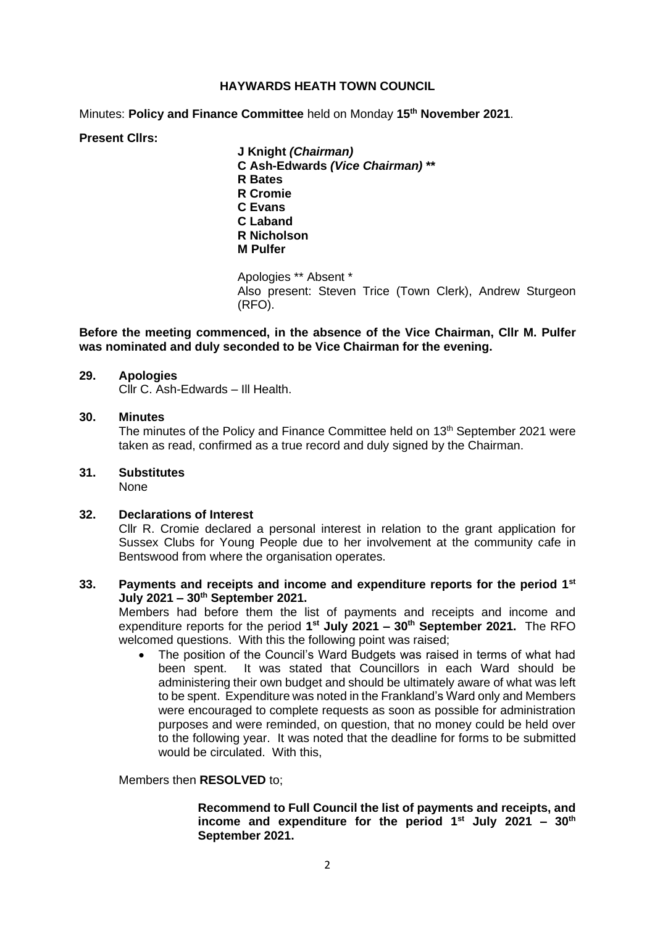#### **HAYWARDS HEATH TOWN COUNCIL**

Minutes: **Policy and Finance Committee** held on Monday **15 th November 2021**.

# **Present Cllrs:**

**J Knight** *(Chairman)* **C Ash-Edwards** *(Vice Chairman)* **\*\* R Bates R Cromie C Evans C Laband R Nicholson M Pulfer**

Apologies \*\* Absent \* Also present: Steven Trice (Town Clerk), Andrew Sturgeon (RFO).

## **Before the meeting commenced, in the absence of the Vice Chairman, Cllr M. Pulfer was nominated and duly seconded to be Vice Chairman for the evening.**

#### **29. Apologies**

Cllr C. Ash-Edwards – Ill Health.

#### **30. Minutes**

The minutes of the Policy and Finance Committee held on 13<sup>th</sup> September 2021 were taken as read, confirmed as a true record and duly signed by the Chairman.

# **31. Substitutes**

None

#### **32. Declarations of Interest**

Cllr R. Cromie declared a personal interest in relation to the grant application for Sussex Clubs for Young People due to her involvement at the community cafe in Bentswood from where the organisation operates.

## **33. Payments and receipts and income and expenditure reports for the period 1st July 2021 – 30 th September 2021.**

Members had before them the list of payments and receipts and income and expenditure reports for the period **1 st July 2021 – 30 th September 2021.** The RFO welcomed questions. With this the following point was raised;

• The position of the Council's Ward Budgets was raised in terms of what had been spent. It was stated that Councillors in each Ward should be administering their own budget and should be ultimately aware of what was left to be spent. Expenditure was noted in the Frankland's Ward only and Members were encouraged to complete requests as soon as possible for administration purposes and were reminded, on question, that no money could be held over to the following year. It was noted that the deadline for forms to be submitted would be circulated. With this,

Members then **RESOLVED** to;

#### **Recommend to Full Council the list of payments and receipts, and income and expenditure for the period 1st July 2021 – 30 th September 2021.**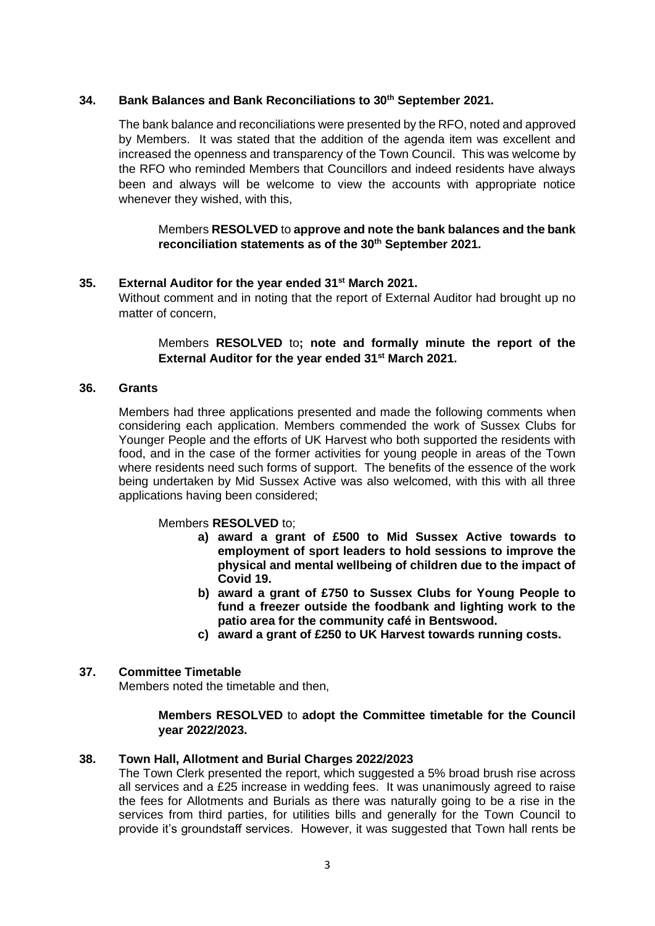# **34. Bank Balances and Bank Reconciliations to 30th September 2021.**

The bank balance and reconciliations were presented by the RFO, noted and approved by Members. It was stated that the addition of the agenda item was excellent and increased the openness and transparency of the Town Council. This was welcome by the RFO who reminded Members that Councillors and indeed residents have always been and always will be welcome to view the accounts with appropriate notice whenever they wished, with this,

# Members **RESOLVED** to **approve and note the bank balances and the bank reconciliation statements as of the 30th September 2021.**

#### **35. External Auditor for the year ended 31st March 2021.**

Without comment and in noting that the report of External Auditor had brought up no matter of concern,

# Members **RESOLVED** to**; note and formally minute the report of the External Auditor for the year ended 31st March 2021.**

#### **36. Grants**

Members had three applications presented and made the following comments when considering each application. Members commended the work of Sussex Clubs for Younger People and the efforts of UK Harvest who both supported the residents with food, and in the case of the former activities for young people in areas of the Town where residents need such forms of support. The benefits of the essence of the work being undertaken by Mid Sussex Active was also welcomed, with this with all three applications having been considered;

# Members **RESOLVED** to;

- **a) award a grant of £500 to Mid Sussex Active towards to employment of sport leaders to hold sessions to improve the physical and mental wellbeing of children due to the impact of Covid 19.**
- **b) award a grant of £750 to Sussex Clubs for Young People to fund a freezer outside the foodbank and lighting work to the patio area for the community café in Bentswood.**
- **c) award a grant of £250 to UK Harvest towards running costs.**

# **37. Committee Timetable**

Members noted the timetable and then,

#### **Members RESOLVED** to **adopt the Committee timetable for the Council year 2022/2023.**

#### **38. Town Hall, Allotment and Burial Charges 2022/2023**

The Town Clerk presented the report, which suggested a 5% broad brush rise across all services and a £25 increase in wedding fees. It was unanimously agreed to raise the fees for Allotments and Burials as there was naturally going to be a rise in the services from third parties, for utilities bills and generally for the Town Council to provide it's groundstaff services. However, it was suggested that Town hall rents be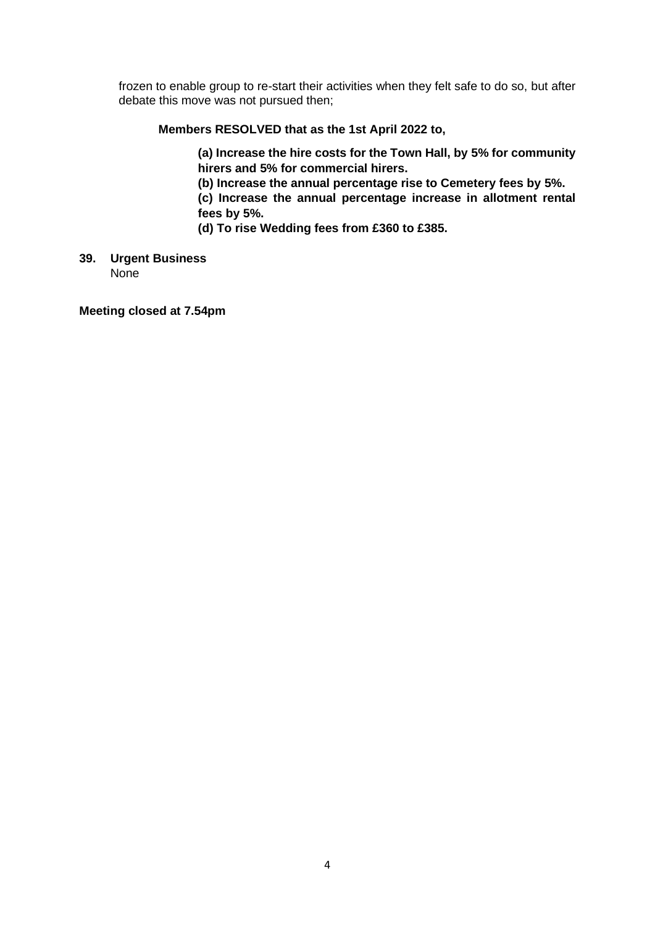frozen to enable group to re-start their activities when they felt safe to do so, but after debate this move was not pursued then;

# **Members RESOLVED that as the 1st April 2022 to,**

**(a) Increase the hire costs for the Town Hall, by 5% for community hirers and 5% for commercial hirers.** 

**(b) Increase the annual percentage rise to Cemetery fees by 5%.** 

**(c) Increase the annual percentage increase in allotment rental fees by 5%.** 

**(d) To rise Wedding fees from £360 to £385.**

#### **39. Urgent Business** None

**Meeting closed at 7.54pm**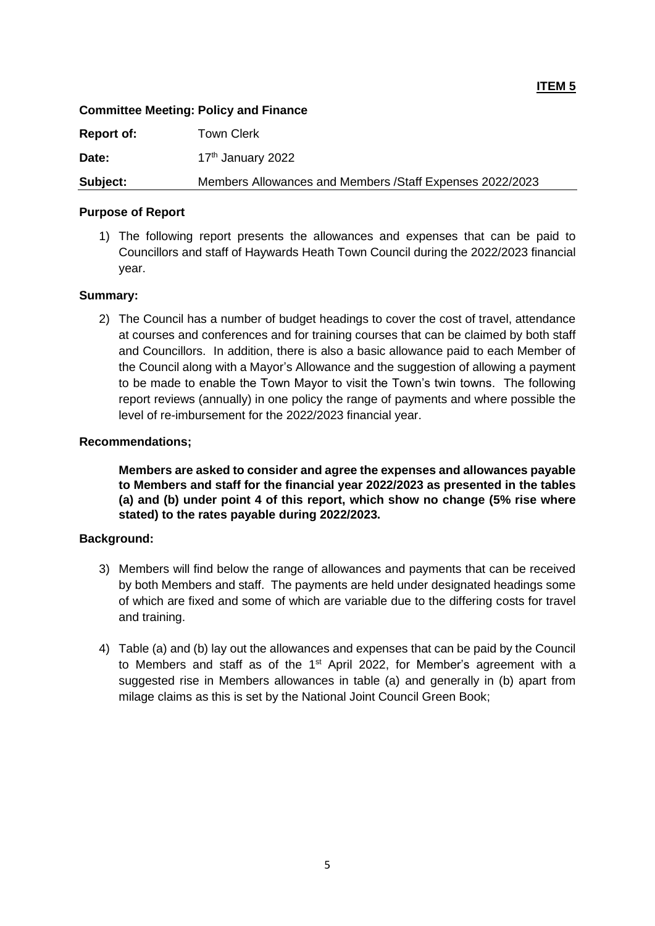# **Committee Meeting: Policy and Finance**

| Report of: | Town Clerk                                                |
|------------|-----------------------------------------------------------|
| Date:      | 17 <sup>th</sup> January 2022                             |
| Subject:   | Members Allowances and Members / Staff Expenses 2022/2023 |

## **Purpose of Report**

1) The following report presents the allowances and expenses that can be paid to Councillors and staff of Haywards Heath Town Council during the 2022/2023 financial year.

#### **Summary:**

2) The Council has a number of budget headings to cover the cost of travel, attendance at courses and conferences and for training courses that can be claimed by both staff and Councillors. In addition, there is also a basic allowance paid to each Member of the Council along with a Mayor's Allowance and the suggestion of allowing a payment to be made to enable the Town Mayor to visit the Town's twin towns. The following report reviews (annually) in one policy the range of payments and where possible the level of re-imbursement for the 2022/2023 financial year.

#### **Recommendations;**

**Members are asked to consider and agree the expenses and allowances payable to Members and staff for the financial year 2022/2023 as presented in the tables (a) and (b) under point 4 of this report, which show no change (5% rise where stated) to the rates payable during 2022/2023.** 

# **Background:**

- 3) Members will find below the range of allowances and payments that can be received by both Members and staff. The payments are held under designated headings some of which are fixed and some of which are variable due to the differing costs for travel and training.
- 4) Table (a) and (b) lay out the allowances and expenses that can be paid by the Council to Members and staff as of the 1<sup>st</sup> April 2022, for Member's agreement with a suggested rise in Members allowances in table (a) and generally in (b) apart from milage claims as this is set by the National Joint Council Green Book;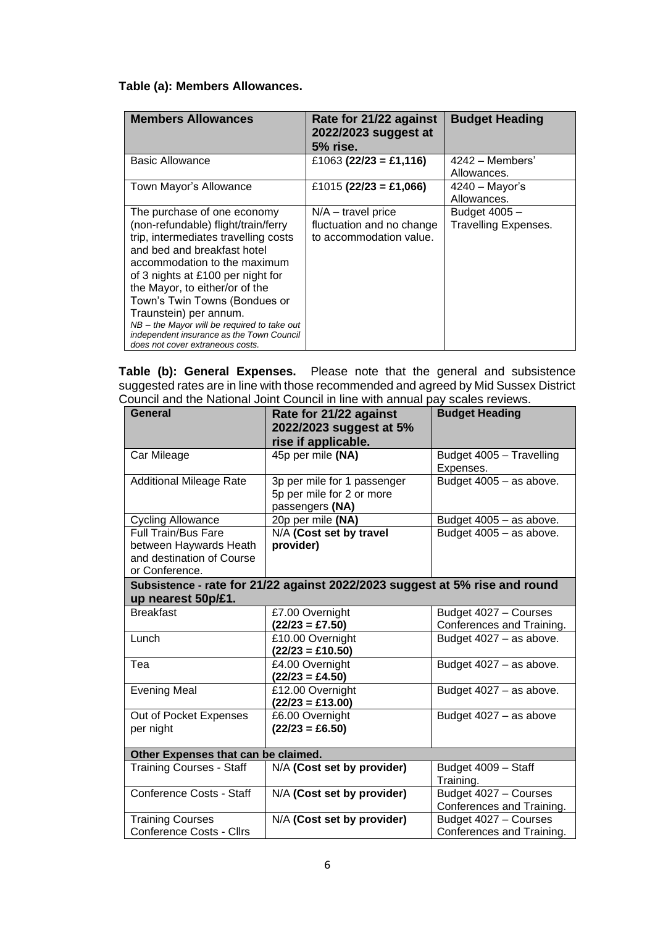# **Table (a): Members Allowances.**

| <b>Members Allowances</b>                     | Rate for 21/22 against<br>2022/2023 suggest at<br><b>5% rise.</b> | <b>Budget Heading</b>       |
|-----------------------------------------------|-------------------------------------------------------------------|-----------------------------|
| <b>Basic Allowance</b>                        | £1063 (22/23 = £1,116)                                            | $4242 -$ Members'           |
|                                               |                                                                   | Allowances.                 |
| Town Mayor's Allowance                        | £1015 (22/23 = £1,066)                                            | 4240 - Mayor's              |
|                                               |                                                                   | Allowances.                 |
| The purchase of one economy                   | $N/A$ – travel price                                              | Budget 4005 -               |
| (non-refundable) flight/train/ferry           | fluctuation and no change                                         | <b>Travelling Expenses.</b> |
| trip, intermediates travelling costs          | to accommodation value.                                           |                             |
| and bed and breakfast hotel                   |                                                                   |                             |
| accommodation to the maximum                  |                                                                   |                             |
| of 3 nights at £100 per night for             |                                                                   |                             |
| the Mayor, to either/or of the                |                                                                   |                             |
| Town's Twin Towns (Bondues or                 |                                                                   |                             |
| Traunstein) per annum.                        |                                                                   |                             |
| $NB -$ the Mayor will be required to take out |                                                                   |                             |
| independent insurance as the Town Council     |                                                                   |                             |
| does not cover extraneous costs.              |                                                                   |                             |

**Table (b): General Expenses.** Please note that the general and subsistence suggested rates are in line with those recommended and agreed by Mid Sussex District Council and the National Joint Council in line with annual pay scales reviews.

| <b>General</b>                      | Rate for 21/22 against                                                      | <b>Budget Heading</b>     |
|-------------------------------------|-----------------------------------------------------------------------------|---------------------------|
|                                     | 2022/2023 suggest at 5%                                                     |                           |
|                                     | rise if applicable.                                                         |                           |
| Car Mileage                         | 45p per mile (NA)                                                           | Budget 4005 - Travelling  |
|                                     |                                                                             | Expenses.                 |
| <b>Additional Mileage Rate</b>      | 3p per mile for 1 passenger                                                 | Budget 4005 - as above.   |
|                                     | 5p per mile for 2 or more                                                   |                           |
|                                     | passengers (NA)                                                             |                           |
| <b>Cycling Allowance</b>            | 20p per mile (NA)                                                           | Budget 4005 - as above.   |
| <b>Full Train/Bus Fare</b>          | N/A (Cost set by travel                                                     | Budget 4005 - as above.   |
| between Haywards Heath              | provider)                                                                   |                           |
| and destination of Course           |                                                                             |                           |
| or Conference.                      |                                                                             |                           |
|                                     | Subsistence - rate for 21/22 against 2022/2023 suggest at 5% rise and round |                           |
| up nearest 50p/£1.                  |                                                                             |                           |
| <b>Breakfast</b>                    | £7.00 Overnight                                                             | Budget 4027 - Courses     |
|                                     | $(22/23 = \text{\pounds}7.50)$                                              | Conferences and Training. |
| Lunch                               | £10.00 Overnight                                                            | Budget 4027 - as above.   |
|                                     | $(22/23 = \text{\pounds}10.50)$                                             |                           |
| Tea                                 | £4.00 Overnight                                                             | Budget 4027 - as above.   |
|                                     | $(22/23 = \text{\pounds}4.50)$                                              |                           |
| <b>Evening Meal</b>                 | £12.00 Overnight                                                            | Budget 4027 - as above.   |
|                                     | $(22/23 = \text{\pounds}13.00)$                                             |                           |
| Out of Pocket Expenses              | £6.00 Overnight                                                             | Budget 4027 - as above    |
| per night                           | $(22/23 = \text{\pounds}6.50)$                                              |                           |
| Other Expenses that can be claimed. |                                                                             |                           |
| <b>Training Courses - Staff</b>     | N/A (Cost set by provider)                                                  | Budget 4009 - Staff       |
|                                     |                                                                             | Training.                 |
| Conference Costs - Staff            | N/A (Cost set by provider)                                                  | Budget 4027 - Courses     |
|                                     |                                                                             | Conferences and Training. |
| <b>Training Courses</b>             | N/A (Cost set by provider)                                                  | Budget 4027 - Courses     |
| <b>Conference Costs - Cllrs</b>     |                                                                             | Conferences and Training. |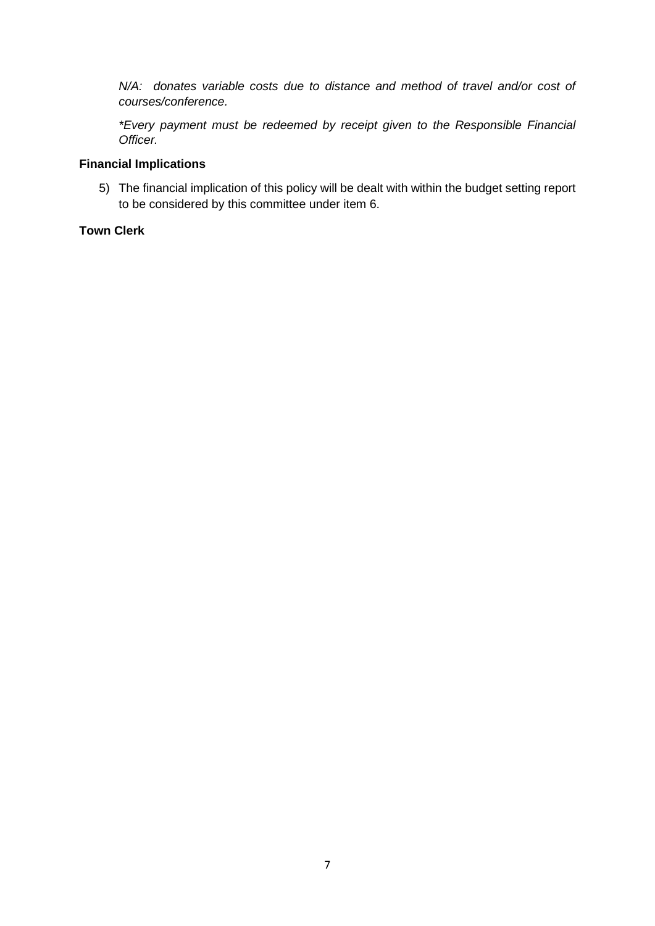*N/A:* donates variable costs due to distance and method of travel and/or cost of *courses/conference.*

*\*Every payment must be redeemed by receipt given to the Responsible Financial Officer.*

# **Financial Implications**

5) The financial implication of this policy will be dealt with within the budget setting report to be considered by this committee under item 6.

# **Town Clerk**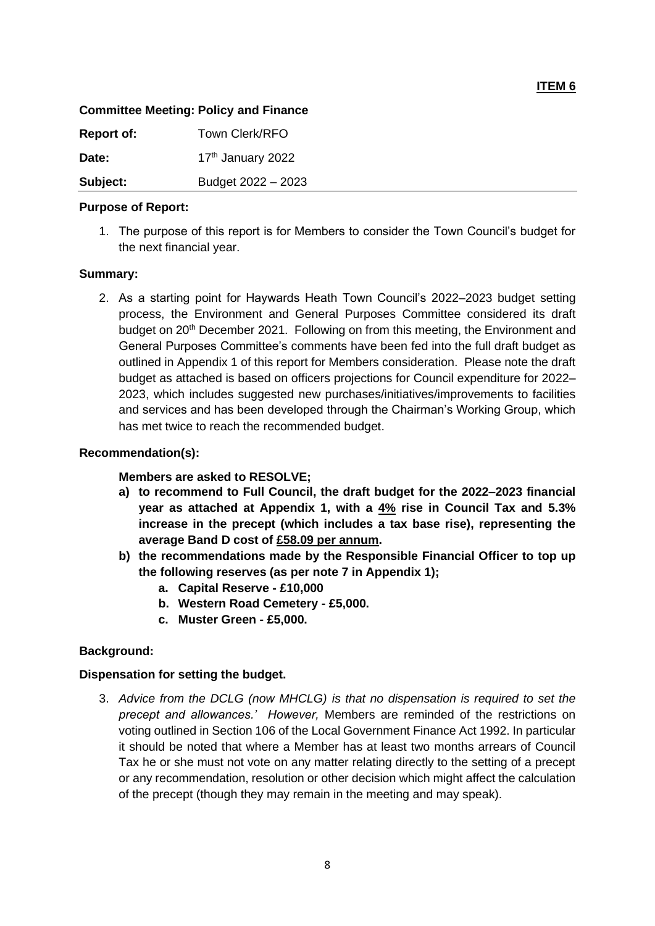# **Committee Meeting: Policy and Finance**

| <b>Report of:</b> | Town Clerk/RFO     |
|-------------------|--------------------|
| Date:             | 17th January 2022  |
| Subject:          | Budget 2022 - 2023 |

## **Purpose of Report:**

1. The purpose of this report is for Members to consider the Town Council's budget for the next financial year.

#### **Summary:**

2. As a starting point for Haywards Heath Town Council's 2022–2023 budget setting process, the Environment and General Purposes Committee considered its draft budget on 20<sup>th</sup> December 2021. Following on from this meeting, the Environment and General Purposes Committee's comments have been fed into the full draft budget as outlined in Appendix 1 of this report for Members consideration. Please note the draft budget as attached is based on officers projections for Council expenditure for 2022– 2023, which includes suggested new purchases/initiatives/improvements to facilities and services and has been developed through the Chairman's Working Group, which has met twice to reach the recommended budget.

#### **Recommendation(s):**

# **Members are asked to RESOLVE;**

- **a) to recommend to Full Council, the draft budget for the 2022–2023 financial year as attached at Appendix 1, with a 4% rise in Council Tax and 5.3% increase in the precept (which includes a tax base rise), representing the average Band D cost of £58.09 per annum.**
- **b) the recommendations made by the Responsible Financial Officer to top up the following reserves (as per note 7 in Appendix 1);**
	- **a. Capital Reserve - £10,000**
	- **b. Western Road Cemetery - £5,000.**
	- **c. Muster Green - £5,000.**

# **Background:**

# **Dispensation for setting the budget.**

3. *Advice from the DCLG (now MHCLG) is that no dispensation is required to set the precept and allowances.' However,* Members are reminded of the restrictions on voting outlined in Section 106 of the Local Government Finance Act 1992. In particular it should be noted that where a Member has at least two months arrears of Council Tax he or she must not vote on any matter relating directly to the setting of a precept or any recommendation, resolution or other decision which might affect the calculation of the precept (though they may remain in the meeting and may speak).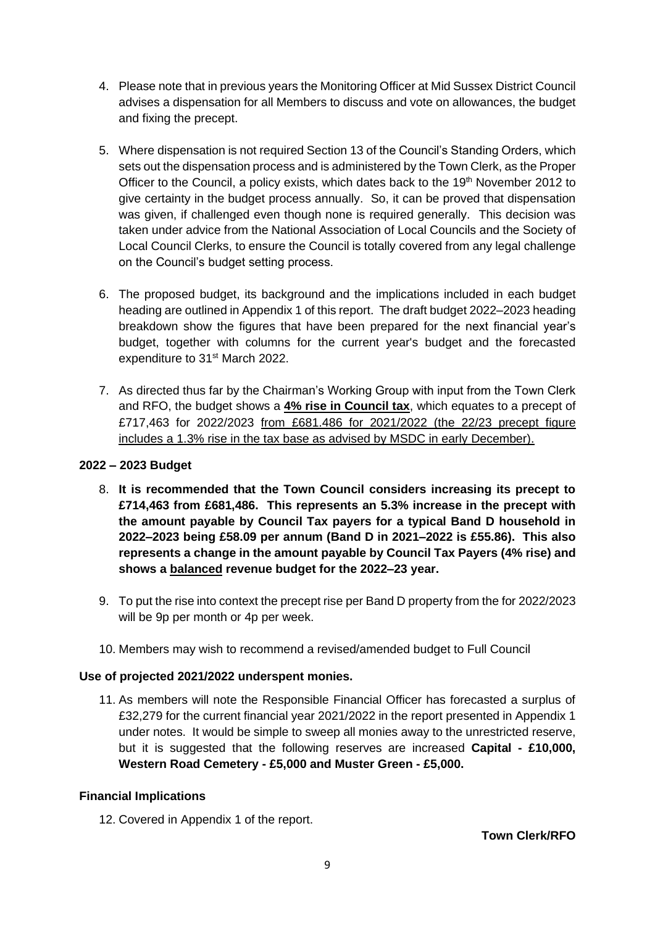- 4. Please note that in previous years the Monitoring Officer at Mid Sussex District Council advises a dispensation for all Members to discuss and vote on allowances, the budget and fixing the precept.
- 5. Where dispensation is not required Section 13 of the Council's Standing Orders, which sets out the dispensation process and is administered by the Town Clerk, as the Proper Officer to the Council, a policy exists, which dates back to the 19<sup>th</sup> November 2012 to give certainty in the budget process annually. So, it can be proved that dispensation was given, if challenged even though none is required generally. This decision was taken under advice from the National Association of Local Councils and the Society of Local Council Clerks, to ensure the Council is totally covered from any legal challenge on the Council's budget setting process.
- 6. The proposed budget, its background and the implications included in each budget heading are outlined in Appendix 1 of this report. The draft budget 2022–2023 heading breakdown show the figures that have been prepared for the next financial year's budget, together with columns for the current year's budget and the forecasted expenditure to 31<sup>st</sup> March 2022.
- 7. As directed thus far by the Chairman's Working Group with input from the Town Clerk and RFO, the budget shows a **4% rise in Council tax**, which equates to a precept of £717,463 for 2022/2023 from £681.486 for 2021/2022 (the 22/23 precept figure includes a 1.3% rise in the tax base as advised by MSDC in early December).

# **2022 – 2023 Budget**

- 8. **It is recommended that the Town Council considers increasing its precept to £714,463 from £681,486. This represents an 5.3% increase in the precept with the amount payable by Council Tax payers for a typical Band D household in 2022–2023 being £58.09 per annum (Band D in 2021–2022 is £55.86). This also represents a change in the amount payable by Council Tax Payers (4% rise) and shows a balanced revenue budget for the 2022–23 year.**
- 9. To put the rise into context the precept rise per Band D property from the for 2022/2023 will be 9p per month or 4p per week.
- 10. Members may wish to recommend a revised/amended budget to Full Council

# **Use of projected 2021/2022 underspent monies.**

11. As members will note the Responsible Financial Officer has forecasted a surplus of £32,279 for the current financial year 2021/2022 in the report presented in Appendix 1 under notes. It would be simple to sweep all monies away to the unrestricted reserve, but it is suggested that the following reserves are increased **Capital - £10,000, Western Road Cemetery - £5,000 and Muster Green - £5,000.**

# **Financial Implications**

12. Covered in Appendix 1 of the report.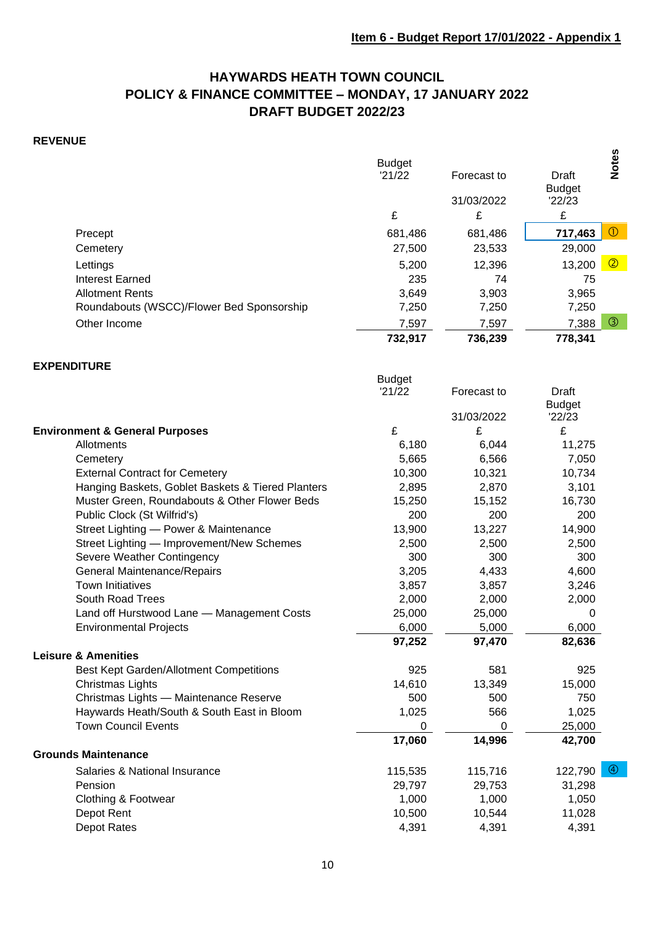# **HAYWARDS HEATH TOWN COUNCIL POLICY & FINANCE COMMITTEE – MONDAY, 17 JANUARY 2022 DRAFT BUDGET 2022/23**

# **REVENUE**

|                                           | <b>Budget</b><br>'21/22<br>£ | Forecast to<br>31/03/2022<br>£ | Draft<br><b>Budget</b><br>'22/23<br>£ | <b>Notes</b>  |
|-------------------------------------------|------------------------------|--------------------------------|---------------------------------------|---------------|
| Precept                                   | 681,486                      | 681,486                        | 717,463                               | $\circled{0}$ |
| Cemetery                                  | 27,500                       | 23,533                         | 29,000                                |               |
| Lettings                                  | 5,200                        | 12,396                         | 13,200                                | $\circledR$   |
| Interest Earned                           | 235                          | 74                             | 75                                    |               |
| <b>Allotment Rents</b>                    | 3,649                        | 3,903                          | 3,965                                 |               |
| Roundabouts (WSCC)/Flower Bed Sponsorship | 7,250                        | 7,250                          | 7,250                                 |               |
| Other Income                              | 7,597                        | 7,597                          | 7,388                                 | $\circledS$   |
|                                           | 732,917                      | 736,239                        | 778,341                               |               |

#### **EXPENDITURE**

|                                                   | <b>Budget</b> |             |                          |
|---------------------------------------------------|---------------|-------------|--------------------------|
|                                                   | '21/22        | Forecast to | Draft                    |
|                                                   |               |             | <b>Budget</b>            |
|                                                   |               | 31/03/2022  | 22/23                    |
| <b>Environment &amp; General Purposes</b>         | £             | £           | £                        |
| Allotments                                        | 6,180         | 6,044       | 11,275                   |
| Cemetery                                          | 5,665         | 6,566       | 7,050                    |
| <b>External Contract for Cemetery</b>             | 10,300        | 10,321      | 10,734                   |
| Hanging Baskets, Goblet Baskets & Tiered Planters | 2,895         | 2,870       | 3,101                    |
| Muster Green, Roundabouts & Other Flower Beds     | 15,250        | 15,152      | 16,730                   |
| Public Clock (St Wilfrid's)                       | 200           | 200         | 200                      |
| Street Lighting - Power & Maintenance             | 13,900        | 13,227      | 14,900                   |
| Street Lighting - Improvement/New Schemes         | 2,500         | 2,500       | 2,500                    |
| Severe Weather Contingency                        | 300           | 300         | 300                      |
| General Maintenance/Repairs                       | 3,205         | 4,433       | 4,600                    |
| <b>Town Initiatives</b>                           | 3,857         | 3,857       | 3,246                    |
| <b>South Road Trees</b>                           | 2,000         | 2,000       | 2,000                    |
| Land off Hurstwood Lane - Management Costs        | 25,000        | 25,000      | 0                        |
| <b>Environmental Projects</b>                     | 6,000         | 5,000       | 6,000                    |
|                                                   | 97,252        | 97,470      | 82,636                   |
| <b>Leisure &amp; Amenities</b>                    |               |             |                          |
| Best Kept Garden/Allotment Competitions           | 925           | 581         | 925                      |
| Christmas Lights                                  | 14,610        | 13,349      | 15,000                   |
| Christmas Lights - Maintenance Reserve            | 500           | 500         | 750                      |
| Haywards Heath/South & South East in Bloom        | 1,025         | 566         | 1,025                    |
| <b>Town Council Events</b>                        | 0             | 0           | 25,000                   |
|                                                   | 17,060        | 14,996      | 42,700                   |
| <b>Grounds Maintenance</b>                        |               |             |                          |
| Salaries & National Insurance                     | 115,535       | 115,716     | $\circledast$<br>122,790 |
| Pension                                           | 29,797        | 29,753      | 31,298                   |
| Clothing & Footwear                               | 1,000         | 1,000       | 1,050                    |
| Depot Rent                                        | 10,500        | 10,544      | 11,028                   |
| Depot Rates                                       | 4,391         | 4,391       | 4,391                    |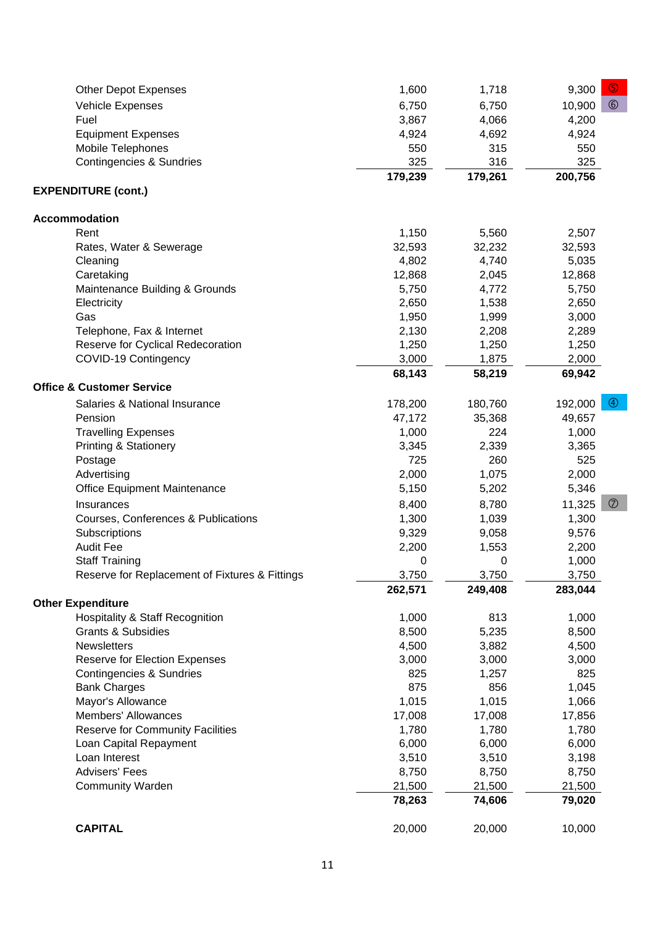| <b>Other Depot Expenses</b>                    | 1,600   | 1,718   | $\circled{5}$<br>9,300    |
|------------------------------------------------|---------|---------|---------------------------|
| Vehicle Expenses                               | 6,750   | 6,750   | $\circledcirc$<br>10,900  |
| Fuel                                           | 3,867   | 4,066   | 4,200                     |
| <b>Equipment Expenses</b>                      | 4,924   | 4,692   | 4,924                     |
| Mobile Telephones                              | 550     | 315     | 550                       |
| <b>Contingencies &amp; Sundries</b>            | 325     | 316     | 325                       |
|                                                | 179,239 | 179,261 | 200,756                   |
| <b>EXPENDITURE (cont.)</b>                     |         |         |                           |
|                                                |         |         |                           |
| Accommodation                                  |         |         |                           |
| Rent                                           | 1,150   | 5,560   | 2,507                     |
| Rates, Water & Sewerage                        | 32,593  | 32,232  | 32,593                    |
| Cleaning                                       | 4,802   | 4,740   | 5,035                     |
| Caretaking                                     | 12,868  | 2,045   | 12,868                    |
| Maintenance Building & Grounds                 | 5,750   | 4,772   | 5,750                     |
| Electricity                                    | 2,650   | 1,538   | 2,650                     |
| Gas                                            | 1,950   | 1,999   | 3,000                     |
| Telephone, Fax & Internet                      | 2,130   | 2,208   | 2,289                     |
| Reserve for Cyclical Redecoration              | 1,250   | 1,250   | 1,250                     |
| COVID-19 Contingency                           | 3,000   | 1,875   | 2,000                     |
|                                                | 68,143  | 58,219  | 69,942                    |
| <b>Office &amp; Customer Service</b>           |         |         |                           |
| Salaries & National Insurance                  | 178,200 | 180,760 | $\circledcirc$<br>192,000 |
| Pension                                        | 47,172  | 35,368  | 49,657                    |
| <b>Travelling Expenses</b>                     | 1,000   | 224     | 1,000                     |
| <b>Printing &amp; Stationery</b>               | 3,345   | 2,339   | 3,365                     |
| Postage                                        | 725     | 260     | 525                       |
| Advertising                                    | 2,000   | 1,075   | 2,000                     |
| Office Equipment Maintenance                   | 5,150   | 5,202   | 5,346                     |
| Insurances                                     | 8,400   | 8,780   | $\circledcirc$<br>11,325  |
| Courses, Conferences & Publications            | 1,300   | 1,039   | 1,300                     |
| Subscriptions                                  | 9,329   | 9,058   | 9,576                     |
| <b>Audit Fee</b>                               | 2,200   | 1,553   | 2,200                     |
| <b>Staff Training</b>                          | 0       | 0       | 1,000                     |
| Reserve for Replacement of Fixtures & Fittings | 3,750   | 3,750   | 3,750                     |
|                                                | 262,571 | 249,408 | 283,044                   |
| <b>Other Expenditure</b>                       |         |         |                           |
| <b>Hospitality &amp; Staff Recognition</b>     | 1,000   | 813     | 1,000                     |
| <b>Grants &amp; Subsidies</b>                  | 8,500   | 5,235   | 8,500                     |
| <b>Newsletters</b>                             | 4,500   | 3,882   | 4,500                     |
| Reserve for Election Expenses                  | 3,000   | 3,000   | 3,000                     |
| Contingencies & Sundries                       | 825     | 1,257   | 825                       |
| <b>Bank Charges</b>                            | 875     | 856     | 1,045                     |
| Mayor's Allowance                              | 1,015   | 1,015   | 1,066                     |
| <b>Members' Allowances</b>                     | 17,008  | 17,008  | 17,856                    |
| Reserve for Community Facilities               | 1,780   | 1,780   | 1,780                     |
| Loan Capital Repayment                         | 6,000   | 6,000   | 6,000                     |
| Loan Interest                                  | 3,510   | 3,510   | 3,198                     |
| <b>Advisers' Fees</b>                          | 8,750   | 8,750   | 8,750                     |
| <b>Community Warden</b>                        | 21,500  | 21,500  | 21,500                    |
|                                                | 78,263  | 74,606  | 79,020                    |
| <b>CAPITAL</b>                                 | 20,000  | 20,000  | 10,000                    |
|                                                |         |         |                           |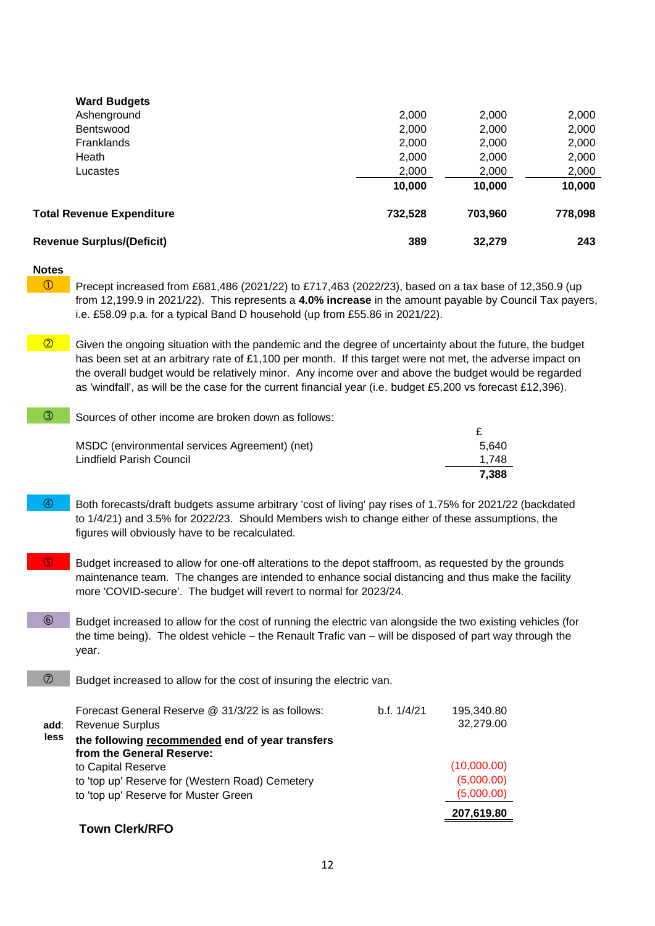| <b>Ward Budgets</b>              |         |         |         |
|----------------------------------|---------|---------|---------|
| Ashenground                      | 2,000   | 2,000   | 2,000   |
| <b>Bentswood</b>                 | 2,000   | 2,000   | 2,000   |
| Franklands                       | 2,000   | 2,000   | 2,000   |
| Heath                            | 2,000   | 2,000   | 2,000   |
| Lucastes                         | 2,000   | 2,000   | 2,000   |
|                                  | 10,000  | 10,000  | 10,000  |
| <b>Total Revenue Expenditure</b> | 732,528 | 703,960 | 778,098 |
| <b>Revenue Surplus/(Deficit)</b> | 389     | 32,279  | 243     |

#### **Notes**

 $\overline{0}$  Precept increased from £681,486 (2021/22) to £717,463 (2022/23), based on a tax base of 12,350.9 (up from 12,199.9 in 2021/22). This represents a **4.0% increase** in the amount payable by Council Tax payers, i.e. £58.09 p.a. for a typical Band D household (up from £55.86 in 2021/22).

 $\sqrt{\frac{2}{10}}$  Given the ongoing situation with the pandemic and the degree of uncertainty about the future, the budget has been set at an arbitrary rate of £1,100 per month. If this target were not met, the adverse impact on the overall budget would be relatively minor. Any income over and above the budget would be regarded as 'windfall', as will be the case for the current financial year (i.e. budget £5,200 vs forecast £12,396).

| 3). | Sources of other income are broken down as follows: |
|-----|-----------------------------------------------------|
|     |                                                     |
|     | $\mathbf{M} \cap \mathbf{N}$                        |

| MSDC (environmental services Agreement) (net) | 5.640 |
|-----------------------------------------------|-------|
| Lindfield Parish Council                      | 1.748 |
|                                               | 7.388 |

- Both forecasts/draft budgets assume arbitrary 'cost of living' pay rises of 1.75% for 2021/22 (backdated to 1/4/21) and 3.5% for 2022/23. Should Members wish to change either of these assumptions, the figures will obviously have to be recalculated.
- Budget increased to allow for one-off alterations to the depot staffroom, as requested by the grounds maintenance team. The changes are intended to enhance social distancing and thus make the facility more 'COVID-secure'. The budget will revert to normal for 2023/24.
- Budget increased to allow for the cost of running the electric van alongside the two existing vehicles (for the time being). The oldest vehicle – the Renault Trafic van – will be disposed of part way through the year.
- $\circled{2}$  Budget increased to allow for the cost of insuring the electric van.

|      | Forecast General Reserve @ 31/3/22 is as follows: | b.f. 1/4/21 | 195,340.80  |
|------|---------------------------------------------------|-------------|-------------|
| add: | <b>Revenue Surplus</b>                            |             | 32,279.00   |
| less | the following recommended end of year transfers   |             |             |
|      | from the General Reserve:                         |             |             |
|      | to Capital Reserve                                |             | (10,000.00) |
|      | to 'top up' Reserve for (Western Road) Cemetery   |             | (5,000.00)  |
|      | to 'top up' Reserve for Muster Green              |             | (5,000.00)  |
|      |                                                   |             | 207,619.80  |
|      | <b>Town Clerk/RFO</b>                             |             |             |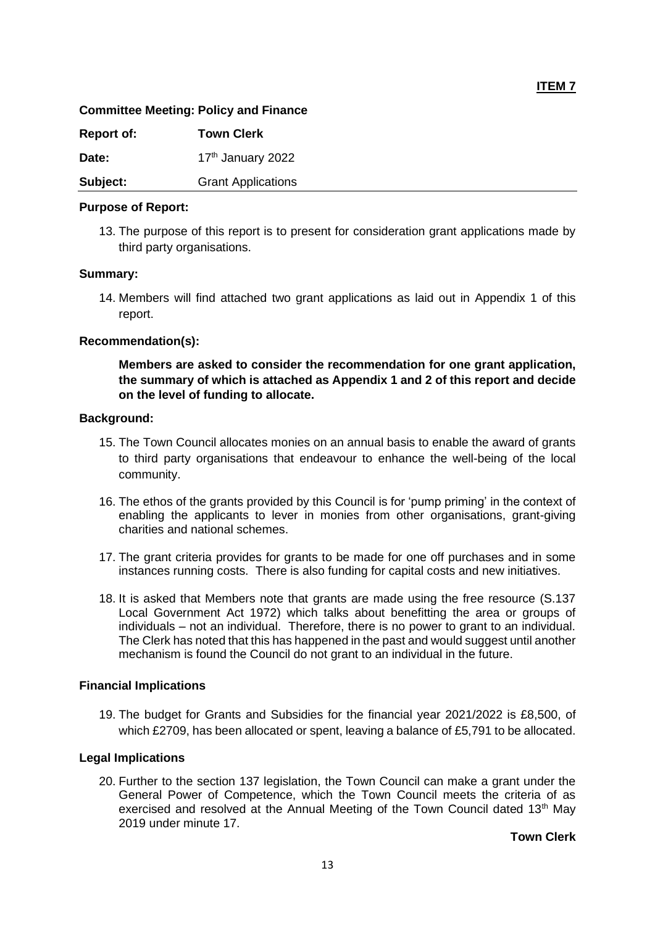#### **Committee Meeting: Policy and Finance**

| <b>Report of:</b> | <b>Town Clerk</b>         |
|-------------------|---------------------------|
| Date:             | 17th January 2022         |
| Subject:          | <b>Grant Applications</b> |

#### **Purpose of Report:**

13. The purpose of this report is to present for consideration grant applications made by third party organisations.

#### **Summary:**

14. Members will find attached two grant applications as laid out in Appendix 1 of this report.

# **Recommendation(s):**

**Members are asked to consider the recommendation for one grant application, the summary of which is attached as Appendix 1 and 2 of this report and decide on the level of funding to allocate.** 

#### **Background:**

- 15. The Town Council allocates monies on an annual basis to enable the award of grants to third party organisations that endeavour to enhance the well-being of the local community.
- 16. The ethos of the grants provided by this Council is for 'pump priming' in the context of enabling the applicants to lever in monies from other organisations, grant-giving charities and national schemes.
- 17. The grant criteria provides for grants to be made for one off purchases and in some instances running costs. There is also funding for capital costs and new initiatives.
- 18. It is asked that Members note that grants are made using the free resource (S.137 Local Government Act 1972) which talks about benefitting the area or groups of individuals – not an individual. Therefore, there is no power to grant to an individual. The Clerk has noted that this has happened in the past and would suggest until another mechanism is found the Council do not grant to an individual in the future.

#### **Financial Implications**

19. The budget for Grants and Subsidies for the financial year 2021/2022 is £8,500, of which £2709, has been allocated or spent, leaving a balance of £5,791 to be allocated.

# **Legal Implications**

20. Further to the section 137 legislation, the Town Council can make a grant under the General Power of Competence, which the Town Council meets the criteria of as exercised and resolved at the Annual Meeting of the Town Council dated 13<sup>th</sup> Mav 2019 under minute 17.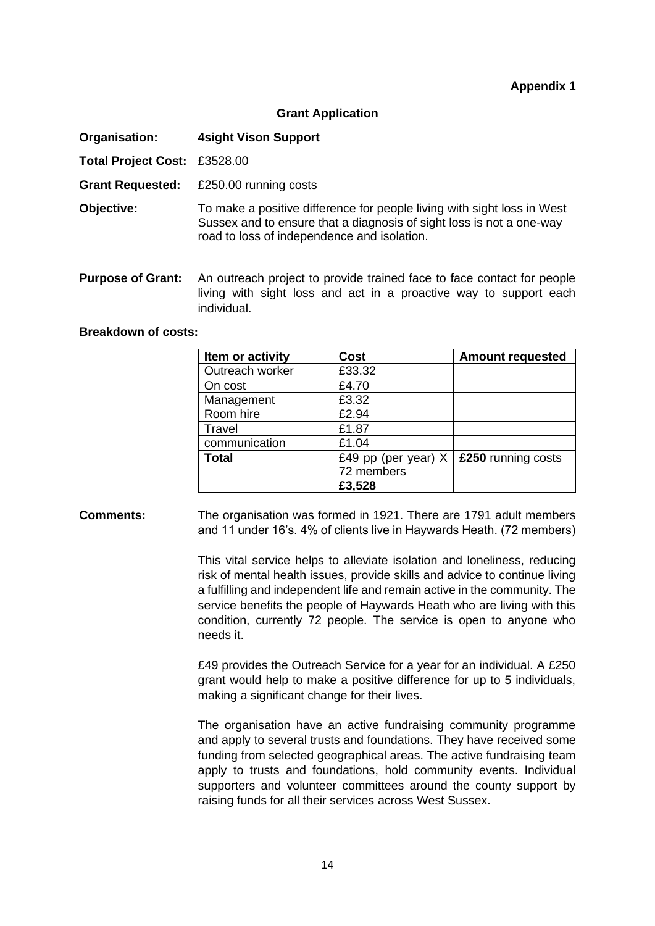#### **Grant Application**

**Organisation: 4sight Vison Support**

**Total Project Cost:** £3528.00

**Grant Requested:** £250.00 running costs

**Objective:** To make a positive difference for people living with sight loss in West Sussex and to ensure that a diagnosis of sight loss is not a one-way road to loss of independence and isolation.

**Purpose of Grant:** An outreach project to provide trained face to face contact for people living with sight loss and act in a proactive way to support each individual.

## **Breakdown of costs:**

| Item or activity | <b>Cost</b>           | <b>Amount requested</b> |
|------------------|-----------------------|-------------------------|
| Outreach worker  | £33.32                |                         |
| On cost          | £4.70                 |                         |
| Management       | £3.32                 |                         |
| Room hire        | £2.94                 |                         |
| Travel           | £1.87                 |                         |
| communication    | £1.04                 |                         |
| <b>Total</b>     | £49 pp (per year) $X$ | £250 running costs      |
|                  | 72 members            |                         |
|                  | £3,528                |                         |

#### **Comments:** The organisation was formed in 1921. There are 1791 adult members and 11 under 16's. 4% of clients live in Haywards Heath. (72 members)

This vital service helps to alleviate isolation and loneliness, reducing risk of mental health issues, provide skills and advice to continue living a fulfilling and independent life and remain active in the community. The service benefits the people of Haywards Heath who are living with this condition, currently 72 people. The service is open to anyone who needs it.

£49 provides the Outreach Service for a year for an individual. A £250 grant would help to make a positive difference for up to 5 individuals, making a significant change for their lives.

The organisation have an active fundraising community programme and apply to several trusts and foundations. They have received some funding from selected geographical areas. The active fundraising team apply to trusts and foundations, hold community events. Individual supporters and volunteer committees around the county support by raising funds for all their services across West Sussex.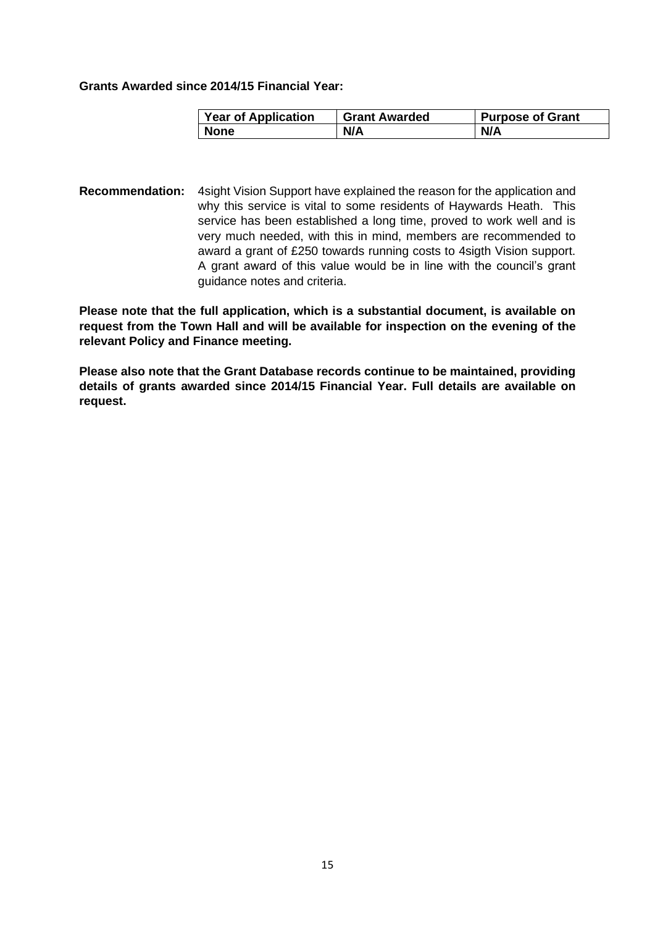#### **Grants Awarded since 2014/15 Financial Year:**

| <b>Year of Application</b> | <b>Grant Awarded</b> | <b>Purpose of Grant</b> |
|----------------------------|----------------------|-------------------------|
| None                       | N/A                  | N/A                     |

**Recommendation:** 4sight Vision Support have explained the reason for the application and why this service is vital to some residents of Haywards Heath. This service has been established a long time, proved to work well and is very much needed, with this in mind, members are recommended to award a grant of £250 towards running costs to 4sigth Vision support. A grant award of this value would be in line with the council's grant guidance notes and criteria.

**Please note that the full application, which is a substantial document, is available on request from the Town Hall and will be available for inspection on the evening of the relevant Policy and Finance meeting.** 

**Please also note that the Grant Database records continue to be maintained, providing details of grants awarded since 2014/15 Financial Year. Full details are available on request.**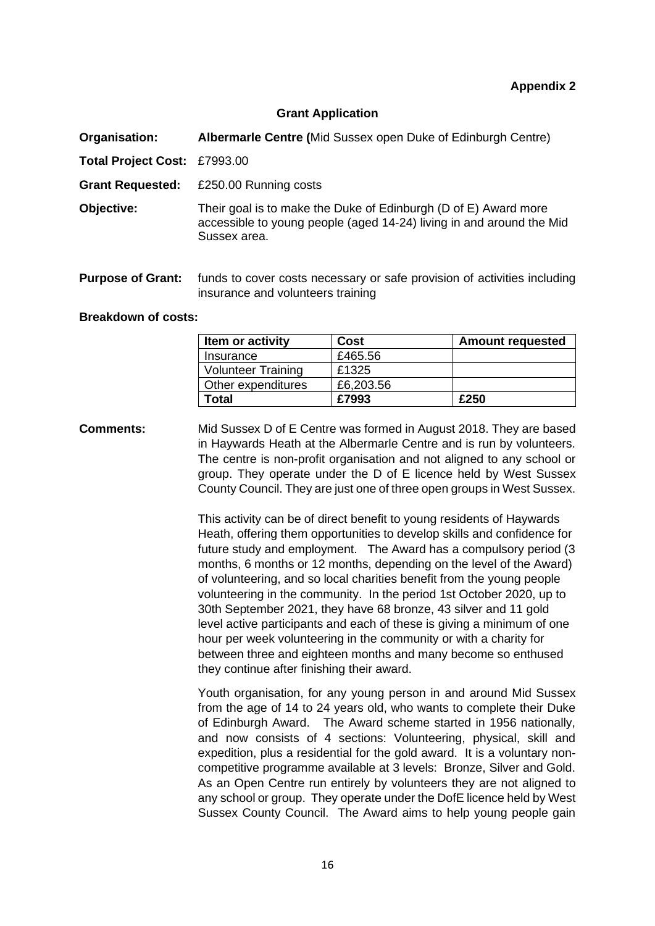#### **Grant Application**

**Organisation: Albermarle Centre (**Mid Sussex open Duke of Edinburgh Centre)

**Total Project Cost:** £7993.00

**Grant Requested:** £250.00 Running costs

**Objective:** Their goal is to make the Duke of Edinburgh (D of E) Award more accessible to young people (aged 14-24) living in and around the Mid Sussex area.

**Purpose of Grant:** funds to cover costs necessary or safe provision of activities including insurance and volunteers training

#### **Breakdown of costs:**

| Item or activity          | Cost      | <b>Amount requested</b> |
|---------------------------|-----------|-------------------------|
| Insurance                 | £465.56   |                         |
| <b>Volunteer Training</b> | £1325     |                         |
| Other expenditures        | £6,203.56 |                         |
| Total                     | £7993     | £250                    |

**Comments:** Mid Sussex D of E Centre was formed in August 2018. They are based in Haywards Heath at the Albermarle Centre and is run by volunteers. The centre is non-profit organisation and not aligned to any school or group. They operate under the D of E licence held by West Sussex County Council. They are just one of three open groups in West Sussex.

> This activity can be of direct benefit to young residents of Haywards Heath, offering them opportunities to develop skills and confidence for future study and employment. The Award has a compulsory period (3 months, 6 months or 12 months, depending on the level of the Award) of volunteering, and so local charities benefit from the young people volunteering in the community. In the period 1st October 2020, up to 30th September 2021, they have 68 bronze, 43 silver and 11 gold level active participants and each of these is giving a minimum of one hour per week volunteering in the community or with a charity for between three and eighteen months and many become so enthused they continue after finishing their award.

> Youth organisation, for any young person in and around Mid Sussex from the age of 14 to 24 years old, who wants to complete their Duke of Edinburgh Award. The Award scheme started in 1956 nationally, and now consists of 4 sections: Volunteering, physical, skill and expedition, plus a residential for the gold award. It is a voluntary noncompetitive programme available at 3 levels: Bronze, Silver and Gold. As an Open Centre run entirely by volunteers they are not aligned to any school or group. They operate under the DofE licence held by West Sussex County Council. The Award aims to help young people gain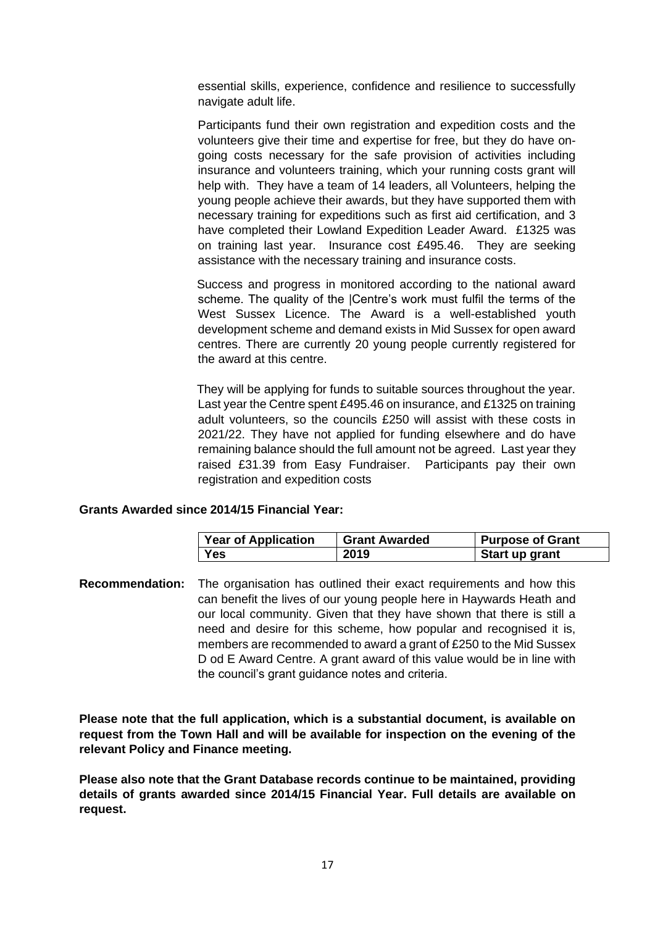essential skills, experience, confidence and resilience to successfully navigate adult life.

Participants fund their own registration and expedition costs and the volunteers give their time and expertise for free, but they do have ongoing costs necessary for the safe provision of activities including insurance and volunteers training, which your running costs grant will help with. They have a team of 14 leaders, all Volunteers, helping the young people achieve their awards, but they have supported them with necessary training for expeditions such as first aid certification, and 3 have completed their Lowland Expedition Leader Award. £1325 was on training last year. Insurance cost £495.46. They are seeking assistance with the necessary training and insurance costs.

 Success and progress in monitored according to the national award scheme. The quality of the |Centre's work must fulfil the terms of the West Sussex Licence. The Award is a well-established youth development scheme and demand exists in Mid Sussex for open award centres. There are currently 20 young people currently registered for the award at this centre.

 They will be applying for funds to suitable sources throughout the year. Last year the Centre spent £495.46 on insurance, and £1325 on training adult volunteers, so the councils £250 will assist with these costs in 2021/22. They have not applied for funding elsewhere and do have remaining balance should the full amount not be agreed. Last year they raised £31.39 from Easy Fundraiser. Participants pay their own registration and expedition costs

#### **Grants Awarded since 2014/15 Financial Year:**

| <b>Year of Application</b> | <b>Grant Awarded</b> | <b>Purpose of Grant</b> |
|----------------------------|----------------------|-------------------------|
| Yes                        | 2019                 | Start up grant          |

**Recommendation:** The organisation has outlined their exact requirements and how this can benefit the lives of our young people here in Haywards Heath and our local community. Given that they have shown that there is still a need and desire for this scheme, how popular and recognised it is, members are recommended to award a grant of £250 to the Mid Sussex D od E Award Centre. A grant award of this value would be in line with the council's grant guidance notes and criteria.

**Please note that the full application, which is a substantial document, is available on request from the Town Hall and will be available for inspection on the evening of the relevant Policy and Finance meeting.** 

**Please also note that the Grant Database records continue to be maintained, providing details of grants awarded since 2014/15 Financial Year. Full details are available on request.**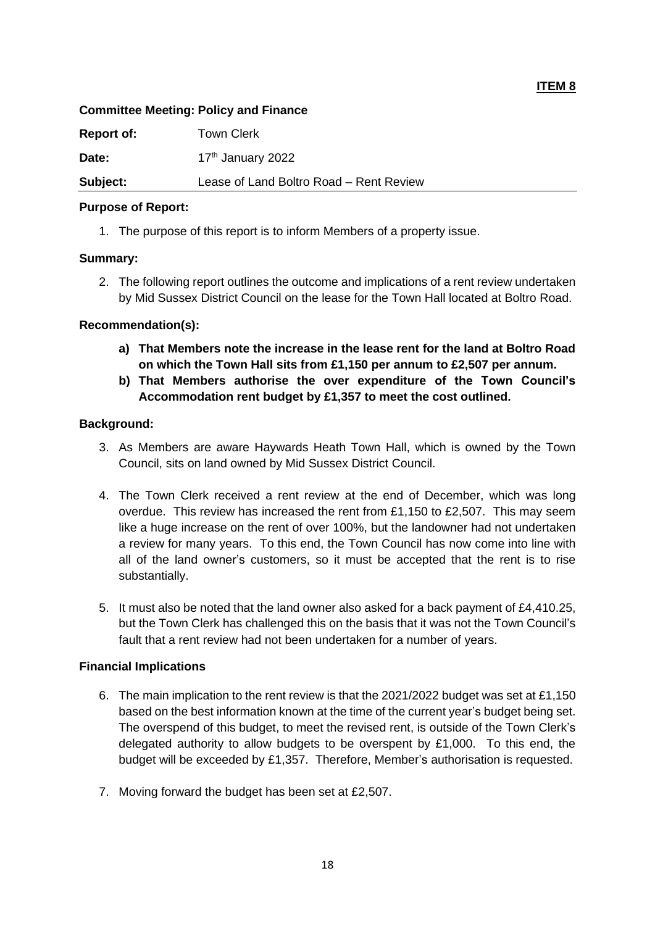## **Committee Meeting: Policy and Finance**

| <b>Report of:</b> | <b>Town Clerk</b>                       |
|-------------------|-----------------------------------------|
| Date:             | 17 <sup>th</sup> January 2022           |
| Subject:          | Lease of Land Boltro Road - Rent Review |

## **Purpose of Report:**

1. The purpose of this report is to inform Members of a property issue.

# **Summary:**

2. The following report outlines the outcome and implications of a rent review undertaken by Mid Sussex District Council on the lease for the Town Hall located at Boltro Road.

# **Recommendation(s):**

- **a) That Members note the increase in the lease rent for the land at Boltro Road on which the Town Hall sits from £1,150 per annum to £2,507 per annum.**
- **b) That Members authorise the over expenditure of the Town Council's Accommodation rent budget by £1,357 to meet the cost outlined.**

# **Background:**

- 3. As Members are aware Haywards Heath Town Hall, which is owned by the Town Council, sits on land owned by Mid Sussex District Council.
- 4. The Town Clerk received a rent review at the end of December, which was long overdue. This review has increased the rent from £1,150 to £2,507. This may seem like a huge increase on the rent of over 100%, but the landowner had not undertaken a review for many years. To this end, the Town Council has now come into line with all of the land owner's customers, so it must be accepted that the rent is to rise substantially.
- 5. It must also be noted that the land owner also asked for a back payment of £4,410.25, but the Town Clerk has challenged this on the basis that it was not the Town Council's fault that a rent review had not been undertaken for a number of years.

# **Financial Implications**

- 6. The main implication to the rent review is that the 2021/2022 budget was set at £1,150 based on the best information known at the time of the current year's budget being set. The overspend of this budget, to meet the revised rent, is outside of the Town Clerk's delegated authority to allow budgets to be overspent by  $£1,000$ . To this end, the budget will be exceeded by £1,357. Therefore, Member's authorisation is requested.
- 7. Moving forward the budget has been set at £2,507.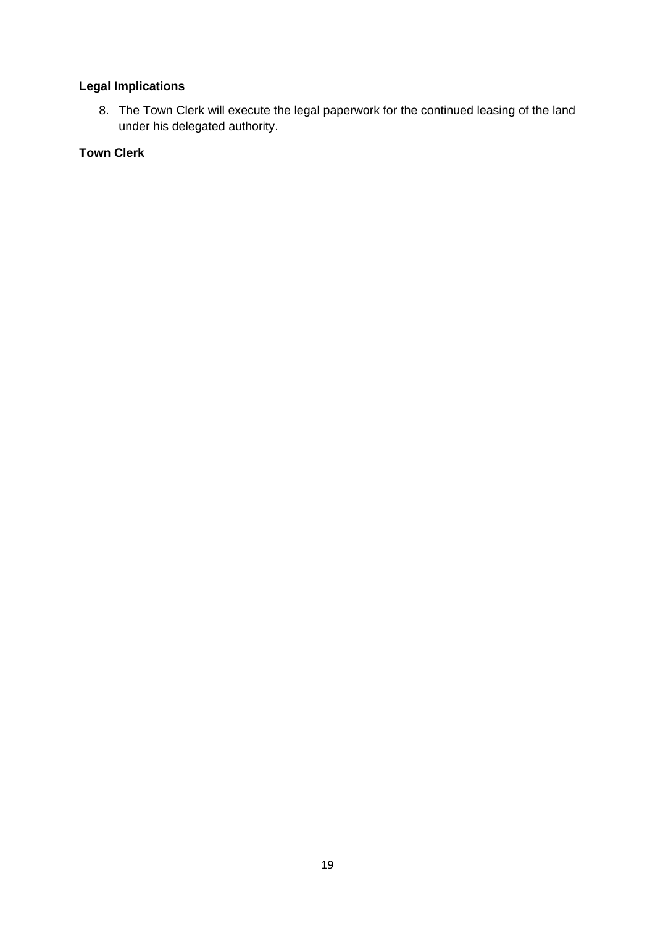# **Legal Implications**

8. The Town Clerk will execute the legal paperwork for the continued leasing of the land under his delegated authority.

# **Town Clerk**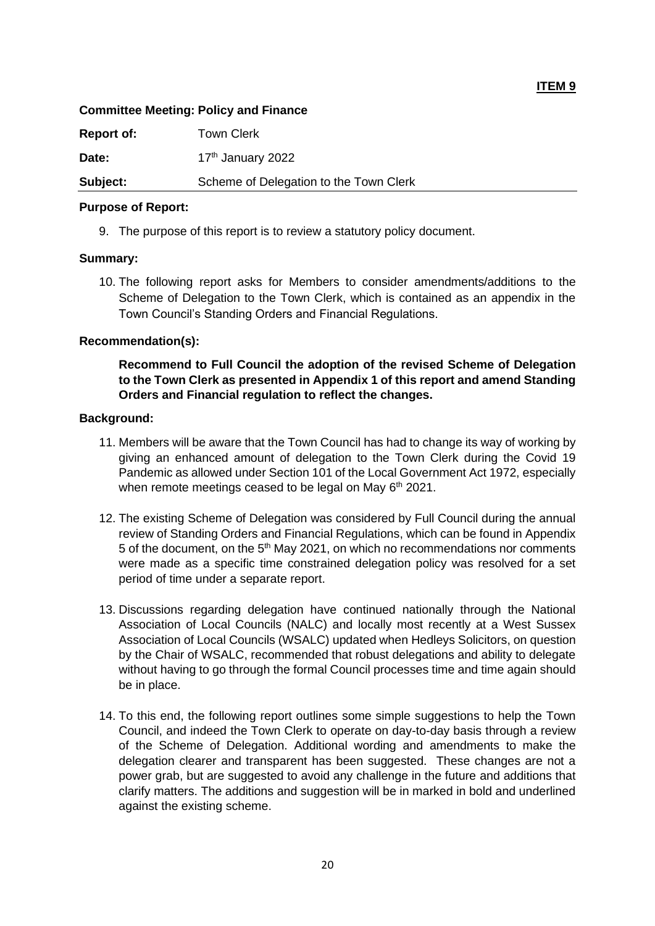## **Committee Meeting: Policy and Finance**

**Report of:** Town Clerk Date: 17th January 2022 **Subject:** Scheme of Delegation to the Town Clerk

#### **Purpose of Report:**

9. The purpose of this report is to review a statutory policy document.

# **Summary:**

10. The following report asks for Members to consider amendments/additions to the Scheme of Delegation to the Town Clerk, which is contained as an appendix in the Town Council's Standing Orders and Financial Regulations.

# **Recommendation(s):**

**Recommend to Full Council the adoption of the revised Scheme of Delegation to the Town Clerk as presented in Appendix 1 of this report and amend Standing Orders and Financial regulation to reflect the changes.**

# **Background:**

- 11. Members will be aware that the Town Council has had to change its way of working by giving an enhanced amount of delegation to the Town Clerk during the Covid 19 Pandemic as allowed under Section 101 of the Local Government Act 1972, especially when remote meetings ceased to be legal on May 6<sup>th</sup> 2021.
- 12. The existing Scheme of Delegation was considered by Full Council during the annual review of Standing Orders and Financial Regulations, which can be found in Appendix 5 of the document, on the 5th May 2021, on which no recommendations nor comments were made as a specific time constrained delegation policy was resolved for a set period of time under a separate report.
- 13. Discussions regarding delegation have continued nationally through the National Association of Local Councils (NALC) and locally most recently at a West Sussex Association of Local Councils (WSALC) updated when Hedleys Solicitors, on question by the Chair of WSALC, recommended that robust delegations and ability to delegate without having to go through the formal Council processes time and time again should be in place.
- 14. To this end, the following report outlines some simple suggestions to help the Town Council, and indeed the Town Clerk to operate on day-to-day basis through a review of the Scheme of Delegation. Additional wording and amendments to make the delegation clearer and transparent has been suggested. These changes are not a power grab, but are suggested to avoid any challenge in the future and additions that clarify matters. The additions and suggestion will be in marked in bold and underlined against the existing scheme.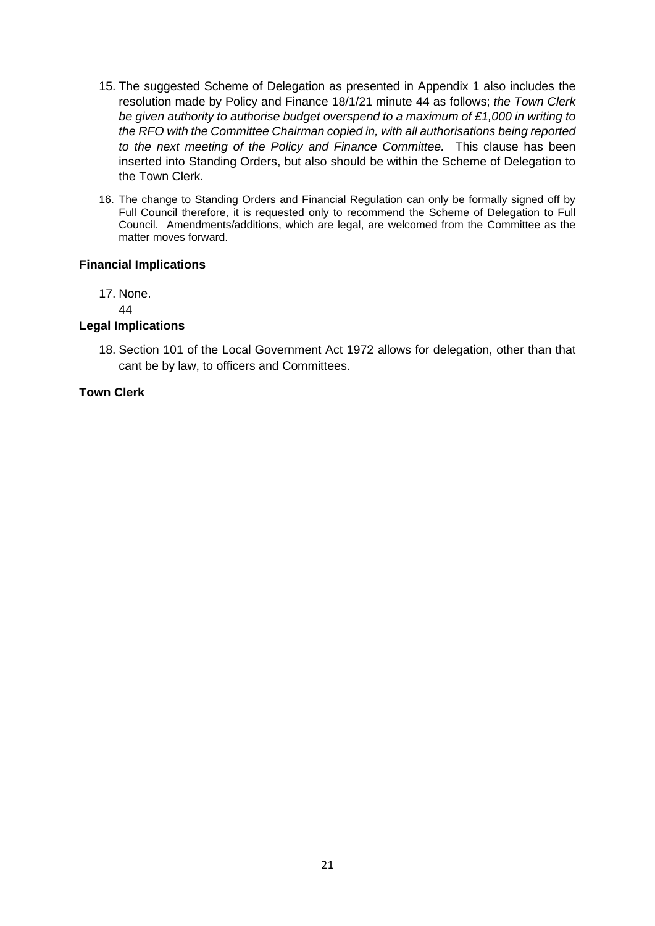- 15. The suggested Scheme of Delegation as presented in Appendix 1 also includes the resolution made by Policy and Finance 18/1/21 minute 44 as follows; *the Town Clerk be given authority to authorise budget overspend to a maximum of £1,000 in writing to the RFO with the Committee Chairman copied in, with all authorisations being reported to the next meeting of the Policy and Finance Committee.* This clause has been inserted into Standing Orders, but also should be within the Scheme of Delegation to the Town Clerk.
- 16. The change to Standing Orders and Financial Regulation can only be formally signed off by Full Council therefore, it is requested only to recommend the Scheme of Delegation to Full Council. Amendments/additions, which are legal, are welcomed from the Committee as the matter moves forward.

#### **Financial Implications**

17. None.

44

#### **Legal Implications**

18. Section 101 of the Local Government Act 1972 allows for delegation, other than that cant be by law, to officers and Committees.

# **Town Clerk**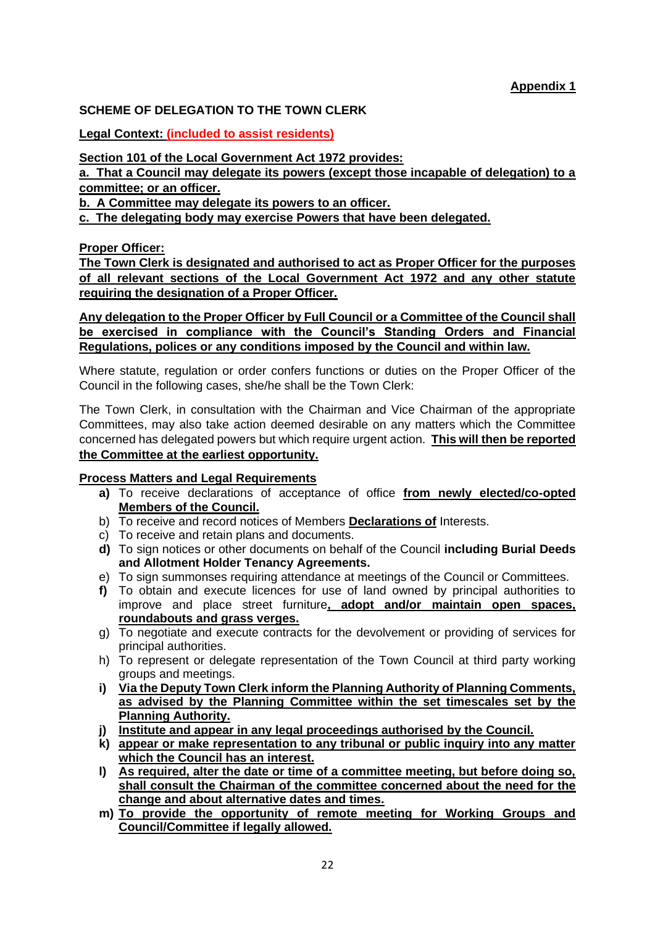# **SCHEME OF DELEGATION TO THE TOWN CLERK**

**Legal Context: (included to assist residents)**

**Section 101 of the Local Government Act 1972 provides:** 

**a. That a Council may delegate its powers (except those incapable of delegation) to a committee; or an officer.** 

**b. A Committee may delegate its powers to an officer.** 

**c. The delegating body may exercise Powers that have been delegated.**

**Proper Officer:**

**The Town Clerk is designated and authorised to act as Proper Officer for the purposes of all relevant sections of the Local Government Act 1972 and any other statute requiring the designation of a Proper Officer.** 

**Any delegation to the Proper Officer by Full Council or a Committee of the Council shall be exercised in compliance with the Council's Standing Orders and Financial Regulations, polices or any conditions imposed by the Council and within law.** 

Where statute, regulation or order confers functions or duties on the Proper Officer of the Council in the following cases, she/he shall be the Town Clerk:

The Town Clerk, in consultation with the Chairman and Vice Chairman of the appropriate Committees, may also take action deemed desirable on any matters which the Committee concerned has delegated powers but which require urgent action. **This will then be reported the Committee at the earliest opportunity.**

# **Process Matters and Legal Requirements**

- **a)** To receive declarations of acceptance of office **from newly elected/co-opted Members of the Council.**
- b) To receive and record notices of Members **Declarations of** Interests.
- c) To receive and retain plans and documents.
- **d)** To sign notices or other documents on behalf of the Council **including Burial Deeds and Allotment Holder Tenancy Agreements.**
- e) To sign summonses requiring attendance at meetings of the Council or Committees.
- **f)** To obtain and execute licences for use of land owned by principal authorities to improve and place street furniture**, adopt and/or maintain open spaces, roundabouts and grass verges.**
- g) To negotiate and execute contracts for the devolvement or providing of services for principal authorities.
- h) To represent or delegate representation of the Town Council at third party working groups and meetings.
- **i) Via the Deputy Town Clerk inform the Planning Authority of Planning Comments, as advised by the Planning Committee within the set timescales set by the Planning Authority.**
- **j) Institute and appear in any legal proceedings authorised by the Council.**
- **k) appear or make representation to any tribunal or public inquiry into any matter which the Council has an interest.**
- **l) As required, alter the date or time of a committee meeting, but before doing so, shall consult the Chairman of the committee concerned about the need for the change and about alternative dates and times.**
- **m) To provide the opportunity of remote meeting for Working Groups and Council/Committee if legally allowed.**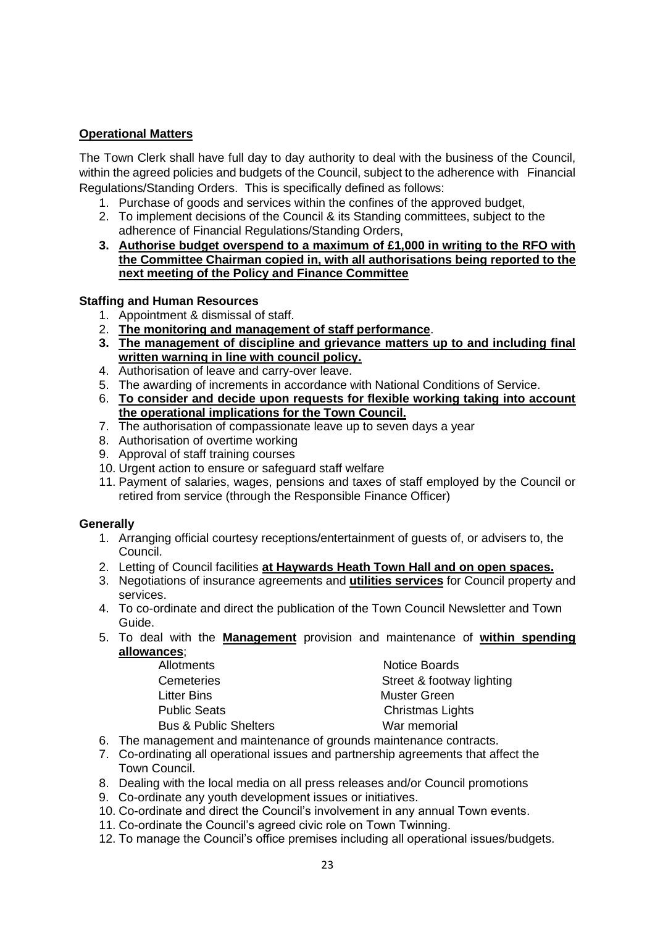# **Operational Matters**

The Town Clerk shall have full day to day authority to deal with the business of the Council, within the agreed policies and budgets of the Council, subject to the adherence with Financial Regulations/Standing Orders. This is specifically defined as follows:

- 1. Purchase of goods and services within the confines of the approved budget,
- 2. To implement decisions of the Council & its Standing committees, subject to the adherence of Financial Regulations/Standing Orders,
- **3. Authorise budget overspend to a maximum of £1,000 in writing to the RFO with the Committee Chairman copied in, with all authorisations being reported to the next meeting of the Policy and Finance Committee**

# **Staffing and Human Resources**

- 1. Appointment & dismissal of staff.
- 2. **The monitoring and management of staff performance**.
- **3. The management of discipline and grievance matters up to and including final written warning in line with council policy.**
- 4. Authorisation of leave and carry-over leave.
- 5. The awarding of increments in accordance with National Conditions of Service.
- 6. **To consider and decide upon requests for flexible working taking into account the operational implications for the Town Council.**
- 7. The authorisation of compassionate leave up to seven days a year
- 8. Authorisation of overtime working
- 9. Approval of staff training courses
- 10. Urgent action to ensure or safeguard staff welfare
- 11. Payment of salaries, wages, pensions and taxes of staff employed by the Council or retired from service (through the Responsible Finance Officer)

# **Generally**

- 1. Arranging official courtesy receptions/entertainment of guests of, or advisers to, the Council.
- 2. Letting of Council facilities **at Haywards Heath Town Hall and on open spaces.**
- 3. Negotiations of insurance agreements and **utilities services** for Council property and services.
- 4. To co-ordinate and direct the publication of the Town Council Newsletter and Town Guide.
- 5. To deal with the **Management** provision and maintenance of **within spending allowances**;

| <b>Allotments</b>                | <b>Notice Boards</b>      |
|----------------------------------|---------------------------|
| <b>Cemeteries</b>                | Street & footway lighting |
| Litter Bins                      | <b>Muster Green</b>       |
| <b>Public Seats</b>              | <b>Christmas Lights</b>   |
| <b>Bus &amp; Public Shelters</b> | War memorial              |

- 6. The management and maintenance of grounds maintenance contracts.
- 7. Co-ordinating all operational issues and partnership agreements that affect the Town Council.
- 8. Dealing with the local media on all press releases and/or Council promotions
- 9. Co-ordinate any youth development issues or initiatives.
- 10. Co-ordinate and direct the Council's involvement in any annual Town events.
- 11. Co-ordinate the Council's agreed civic role on Town Twinning.
- 12. To manage the Council's office premises including all operational issues/budgets.